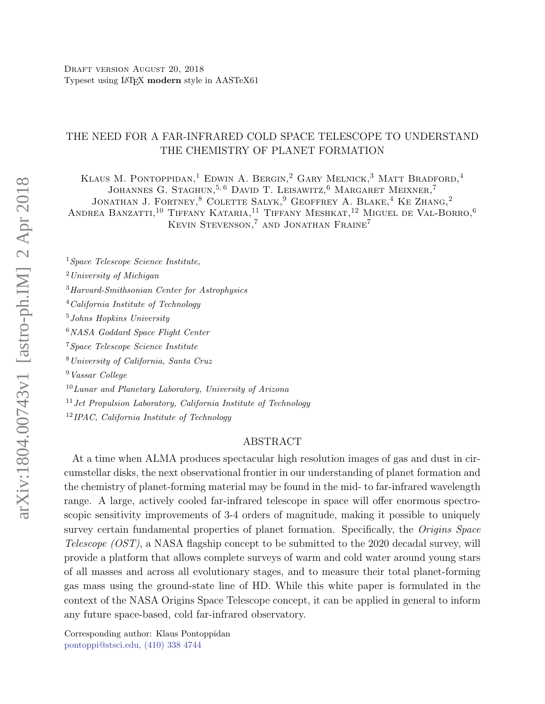# THE NEED FOR A FAR-INFRARED COLD SPACE TELESCOPE TO UNDERSTAND THE CHEMISTRY OF PLANET FORMATION

KLAUS M. PONTOPPIDAN,<sup>1</sup> EDWIN A. BERGIN,<sup>2</sup> GARY MELNICK,<sup>3</sup> MATT BRADFORD,<sup>4</sup> JOHANNES G. STAGHUN,  $^{5,6}$  DAVID T. LEISAWITZ,  $^6$  MARGARET MEIXNER,  $^7$ JONATHAN J. FORTNEY,<sup>8</sup> COLETTE SALYK,<sup>9</sup> GEOFFREY A. BLAKE,<sup>4</sup> KE ZHANG,<sup>2</sup> ANDREA BANZATTI.<sup>10</sup> TIFFANY KATARIA,<sup>11</sup> TIFFANY MESHKAT,<sup>12</sup> MIGUEL DE VAL-BORRO,<sup>6</sup> KEVIN STEVENSON,<sup>7</sup> AND JONATHAN FRAINE<sup>7</sup>

Space Telescope Science Institute, University of Michigan Harvard-Smithsonian Center for Astrophysics California Institute of Technology Johns Hopkins University NASA Goddard Space Flight Center Space Telescope Science Institute University of California, Santa Cruz Vassar College Lunar and Planetary Laboratory, University of Arizona Jet Propulsion Laboratory, California Institute of Technology

<sup>12</sup>IPAC, California Institute of Technology

# ABSTRACT

At a time when ALMA produces spectacular high resolution images of gas and dust in circumstellar disks, the next observational frontier in our understanding of planet formation and the chemistry of planet-forming material may be found in the mid- to far-infrared wavelength range. A large, actively cooled far-infrared telescope in space will offer enormous spectroscopic sensitivity improvements of 3-4 orders of magnitude, making it possible to uniquely survey certain fundamental properties of planet formation. Specifically, the Origins Space Telescope (OST), a NASA flagship concept to be submitted to the 2020 decadal survey, will provide a platform that allows complete surveys of warm and cold water around young stars of all masses and across all evolutionary stages, and to measure their total planet-forming gas mass using the ground-state line of HD. While this white paper is formulated in the context of the NASA Origins Space Telescope concept, it can be applied in general to inform any future space-based, cold far-infrared observatory.

<span id="page-0-1"></span><span id="page-0-0"></span>Corresponding author: Klaus Pontoppidan [pontoppi@stsci.edu, \(410\) 338 4744](mailto: pontoppi@stsci.edu, (410) 338 4744)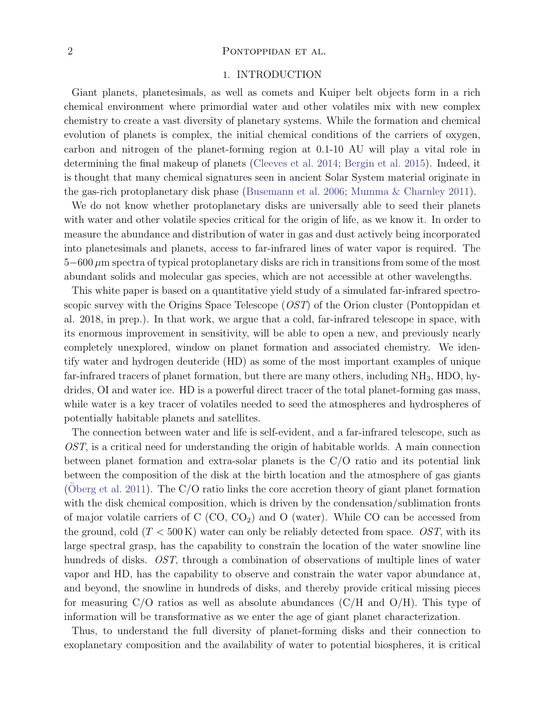### 2 PONTOPPIDAN ET AL.

#### 1. INTRODUCTION

Giant planets, planetesimals, as well as comets and Kuiper belt objects form in a rich chemical environment where primordial water and other volatiles mix with new complex chemistry to create a vast diversity of planetary systems. While the formation and chemical evolution of planets is complex, the initial chemical conditions of the carriers of oxygen, carbon and nitrogen of the planet-forming region at 0.1-10 AU will play a vital role in determining the final makeup of planets [\(Cleeves et al.](#page-5-0) [2014;](#page-5-0) [Bergin et al.](#page-5-1) [2015\)](#page-5-1). Indeed, it is thought that many chemical signatures seen in ancient Solar System material originate in the gas-rich protoplanetary disk phase [\(Busemann et al.](#page-5-2) [2006;](#page-5-2) [Mumma & Charnley](#page-5-3) [2011\)](#page-5-3).

We do not know whether protoplanetary disks are universally able to seed their planets with water and other volatile species critical for the origin of life, as we know it. In order to measure the abundance and distribution of water in gas and dust actively being incorporated into planetesimals and planets, access to far-infrared lines of water vapor is required. The 5−600 µm spectra of typical protoplanetary disks are rich in transitions from some of the most abundant solids and molecular gas species, which are not accessible at other wavelengths.

This white paper is based on a quantitative yield study of a simulated far-infrared spectroscopic survey with the Origins Space Telescope (*OST*) of the Orion cluster (Pontoppidan et al. 2018, in prep.). In that work, we argue that a cold, far-infrared telescope in space, with its enormous improvement in sensitivity, will be able to open a new, and previously nearly completely unexplored, window on planet formation and associated chemistry. We identify water and hydrogen deuteride (HD) as some of the most important examples of unique far-infrared tracers of planet formation, but there are many others, including  $NH<sub>3</sub>$ , HDO, hydrides, OI and water ice. HD is a powerful direct tracer of the total planet-forming gas mass, while water is a key tracer of volatiles needed to seed the atmospheres and hydrospheres of potentially habitable planets and satellites.

The connection between water and life is self-evident, and a far-infrared telescope, such as OST, is a critical need for understanding the origin of habitable worlds. A main connection between planet formation and extra-solar planets is the C/O ratio and its potential link between the composition of the disk at the birth location and the atmosphere of gas giants [\(Oberg et al.](#page-5-4) [2011\)](#page-5-4). The  $C/O$  ratio links the core accretion theory of giant planet formation with the disk chemical composition, which is driven by the condensation/sublimation fronts of major volatile carriers of  $C(CO, CO<sub>2</sub>)$  and  $O(water)$ . While CO can be accessed from the ground, cold  $(T < 500 \text{ K})$  water can only be reliably detected from space. OST, with its large spectral grasp, has the capability to constrain the location of the water snowline line hundreds of disks. *OST*, through a combination of observations of multiple lines of water vapor and HD, has the capability to observe and constrain the water vapor abundance at, and beyond, the snowline in hundreds of disks, and thereby provide critical missing pieces for measuring  $C/O$  ratios as well as absolute abundances  $(C/H$  and  $O/H$ ). This type of information will be transformative as we enter the age of giant planet characterization.

Thus, to understand the full diversity of planet-forming disks and their connection to exoplanetary composition and the availability of water to potential biospheres, it is critical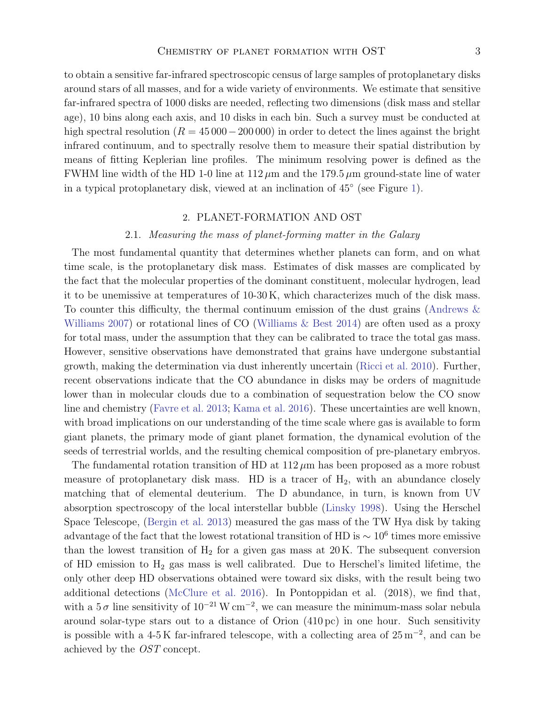to obtain a sensitive far-infrared spectroscopic census of large samples of protoplanetary disks around stars of all masses, and for a wide variety of environments. We estimate that sensitive far-infrared spectra of 1000 disks are needed, reflecting two dimensions (disk mass and stellar age), 10 bins along each axis, and 10 disks in each bin. Such a survey must be conducted at high spectral resolution ( $R = 45000-200000$ ) in order to detect the lines against the bright infrared continuum, and to spectrally resolve them to measure their spatial distribution by means of fitting Keplerian line profiles. The minimum resolving power is defined as the FWHM line width of the HD 1-0 line at  $112 \mu m$  and the 179.5  $\mu m$  ground-state line of water in a typical protoplanetary disk, viewed at an inclination of 45◦ (see Figure [1\)](#page-3-0).

### 2. PLANET-FORMATION AND OST

# 2.1. Measuring the mass of planet-forming matter in the Galaxy

The most fundamental quantity that determines whether planets can form, and on what time scale, is the protoplanetary disk mass. Estimates of disk masses are complicated by the fact that the molecular properties of the dominant constituent, molecular hydrogen, lead it to be unemissive at temperatures of 10-30 K, which characterizes much of the disk mass. To counter this difficulty, the thermal continuum emission of the dust grains [\(Andrews &](#page-5-5) [Williams](#page-5-5) [2007\)](#page-5-5) or rotational lines of CO [\(Williams & Best](#page-5-6) [2014\)](#page-5-6) are often used as a proxy for total mass, under the assumption that they can be calibrated to trace the total gas mass. However, sensitive observations have demonstrated that grains have undergone substantial growth, making the determination via dust inherently uncertain [\(Ricci et al.](#page-5-7) [2010\)](#page-5-7). Further, recent observations indicate that the CO abundance in disks may be orders of magnitude lower than in molecular clouds due to a combination of sequestration below the CO snow line and chemistry [\(Favre et al.](#page-5-8) [2013;](#page-5-8) [Kama et al.](#page-5-9) [2016\)](#page-5-9). These uncertainties are well known, with broad implications on our understanding of the time scale where gas is available to form giant planets, the primary mode of giant planet formation, the dynamical evolution of the seeds of terrestrial worlds, and the resulting chemical composition of pre-planetary embryos.

The fundamental rotation transition of HD at  $112 \mu m$  has been proposed as a more robust measure of protoplanetary disk mass. HD is a tracer of  $H_2$ , with an abundance closely matching that of elemental deuterium. The D abundance, in turn, is known from UV absorption spectroscopy of the local interstellar bubble [\(Linsky](#page-5-10) [1998\)](#page-5-10). Using the Herschel Space Telescope, [\(Bergin et al.](#page-5-11) [2013\)](#page-5-11) measured the gas mass of the TW Hya disk by taking advantage of the fact that the lowest rotational transition of HD is  $\sim 10^6$  times more emissive than the lowest transition of  $H_2$  for a given gas mass at 20 K. The subsequent conversion of HD emission to  $H_2$  gas mass is well calibrated. Due to Herschel's limited lifetime, the only other deep HD observations obtained were toward six disks, with the result being two additional detections [\(McClure et al.](#page-5-12) [2016\)](#page-5-12). In Pontoppidan et al. (2018), we find that, with a  $5\,\sigma$  line sensitivity of  $10^{-21}$  W cm<sup>-2</sup>, we can measure the minimum-mass solar nebula around solar-type stars out to a distance of Orion (410 pc) in one hour. Such sensitivity is possible with a 4-5 K far-infrared telescope, with a collecting area of  $25 \text{ m}^{-2}$ , and can be achieved by the OST concept.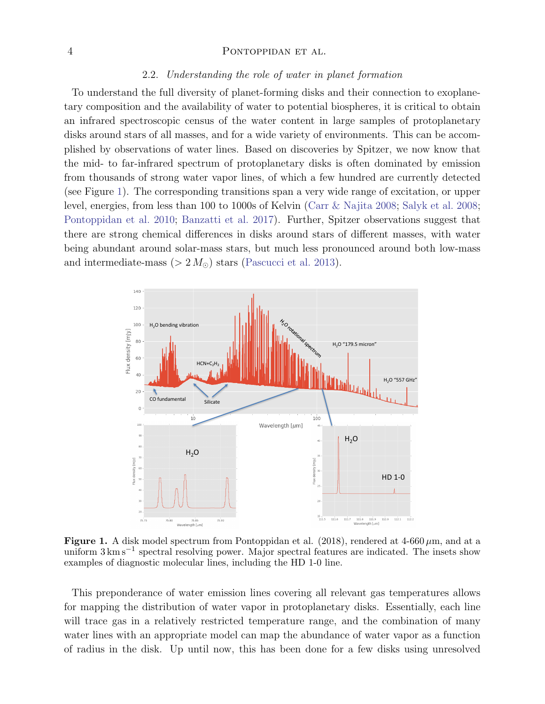#### 4 PONTOPPIDAN ET AL.

#### 2.2. Understanding the role of water in planet formation

To understand the full diversity of planet-forming disks and their connection to exoplanetary composition and the availability of water to potential biospheres, it is critical to obtain an infrared spectroscopic census of the water content in large samples of protoplanetary disks around stars of all masses, and for a wide variety of environments. This can be accomplished by observations of water lines. Based on discoveries by Spitzer, we now know that the mid- to far-infrared spectrum of protoplanetary disks is often dominated by emission from thousands of strong water vapor lines, of which a few hundred are currently detected (see Figure [1\)](#page-3-0). The corresponding transitions span a very wide range of excitation, or upper level, energies, from less than 100 to 1000s of Kelvin [\(Carr & Najita](#page-5-13) [2008;](#page-5-13) [Salyk et al.](#page-5-14) [2008;](#page-5-14) [Pontoppidan et al.](#page-5-15) [2010;](#page-5-15) [Banzatti et al.](#page-5-16) [2017\)](#page-5-16). Further, Spitzer observations suggest that there are strong chemical differences in disks around stars of different masses, with water being abundant around solar-mass stars, but much less pronounced around both low-mass and intermediate-mass ( $> 2 M_{\odot}$ ) stars [\(Pascucci et al.](#page-5-17) [2013\)](#page-5-17).



<span id="page-3-0"></span>Figure 1. A disk model spectrum from Pontoppidan et al. (2018), rendered at 4-660  $\mu$ m, and at a uniform  $3 \text{ km s}^{-1}$  spectral resolving power. Major spectral features are indicated. The insets show examples of diagnostic molecular lines, including the HD 1-0 line.

This preponderance of water emission lines covering all relevant gas temperatures allows for mapping the distribution of water vapor in protoplanetary disks. Essentially, each line will trace gas in a relatively restricted temperature range, and the combination of many water lines with an appropriate model can map the abundance of water vapor as a function of radius in the disk. Up until now, this has been done for a few disks using unresolved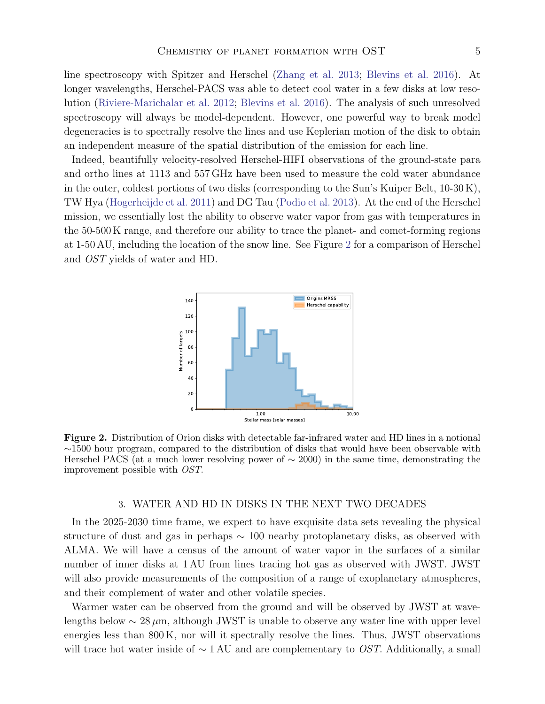line spectroscopy with Spitzer and Herschel [\(Zhang et al.](#page-5-18) [2013;](#page-5-18) [Blevins et al.](#page-5-19) [2016\)](#page-5-19). At longer wavelengths, Herschel-PACS was able to detect cool water in a few disks at low resolution [\(Riviere-Marichalar et al.](#page-5-20) [2012;](#page-5-20) [Blevins et al.](#page-5-19) [2016\)](#page-5-19). The analysis of such unresolved spectroscopy will always be model-dependent. However, one powerful way to break model degeneracies is to spectrally resolve the lines and use Keplerian motion of the disk to obtain an independent measure of the spatial distribution of the emission for each line.

Indeed, beautifully velocity-resolved Herschel-HIFI observations of the ground-state para and ortho lines at 1113 and 557 GHz have been used to measure the cold water abundance in the outer, coldest portions of two disks (corresponding to the Sun's Kuiper Belt, 10-30 K), TW Hya [\(Hogerheijde et al.](#page-5-21) [2011\)](#page-5-21) and DG Tau [\(Podio et al.](#page-5-22) [2013\)](#page-5-22). At the end of the Herschel mission, we essentially lost the ability to observe water vapor from gas with temperatures in the 50-500 K range, and therefore our ability to trace the planet- and comet-forming regions at 1-50 AU, including the location of the snow line. See Figure [2](#page-4-0) for a comparison of Herschel and OST yields of water and HD.



<span id="page-4-0"></span>Figure 2. Distribution of Orion disks with detectable far-infrared water and HD lines in a notional ∼1500 hour program, compared to the distribution of disks that would have been observable with Herschel PACS (at a much lower resolving power of  $\sim 2000$ ) in the same time, demonstrating the improvement possible with OST.

### 3. WATER AND HD IN DISKS IN THE NEXT TWO DECADES

In the 2025-2030 time frame, we expect to have exquisite data sets revealing the physical structure of dust and gas in perhaps  $\sim 100$  nearby protoplanetary disks, as observed with ALMA. We will have a census of the amount of water vapor in the surfaces of a similar number of inner disks at 1 AU from lines tracing hot gas as observed with JWST. JWST will also provide measurements of the composition of a range of exoplanetary atmospheres, and their complement of water and other volatile species.

Warmer water can be observed from the ground and will be observed by JWST at wavelengths below  $\sim 28 \,\mu$ m, although JWST is unable to observe any water line with upper level energies less than 800 K, nor will it spectrally resolve the lines. Thus, JWST observations will trace hot water inside of  $\sim 1 \text{ AU}$  and are complementary to *OST*. Additionally, a small